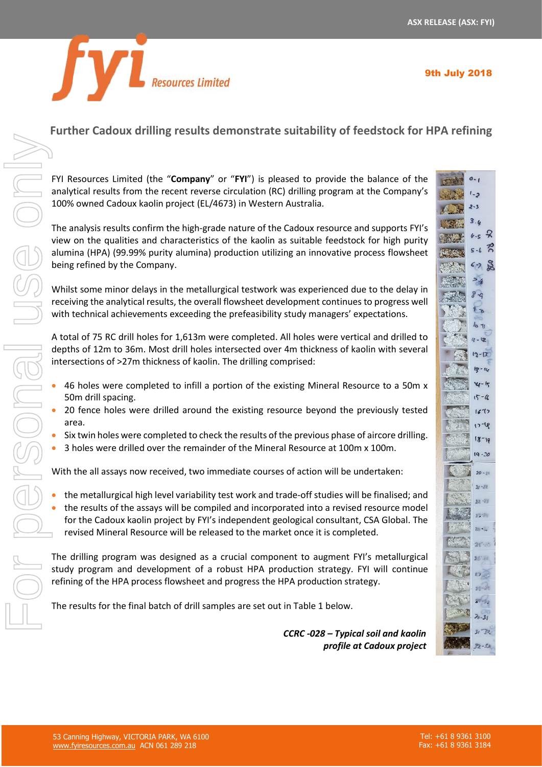



# **Further Cadoux drilling results demonstrate suitability of feedstock for HPA refining**

FYI Resources Limited (the "**Company**" or "**FYI**") is pleased to provide the balance of the analytical results from the recent reverse circulation (RC) drilling program at the Company's 100% owned Cadoux kaolin project (EL/4673) in Western Australia.

The analysis results confirm the high-grade nature of the Cadoux resource and supports FYI's view on the qualities and characteristics of the kaolin as suitable feedstock for high purity alumina (HPA) (99.99% purity alumina) production utilizing an innovative process flowsheet being refined by the Company.

Whilst some minor delays in the metallurgical testwork was experienced due to the delay in receiving the analytical results, the overall flowsheet development continues to progress well with technical achievements exceeding the prefeasibility study managers' expectations.

A total of 75 RC drill holes for 1,613m were completed. All holes were vertical and drilled to depths of 12m to 36m. Most drill holes intersected over 4m thickness of kaolin with several intersections of >27m thickness of kaolin. The drilling comprised:

- 46 holes were completed to infill a portion of the existing Mineral Resource to a 50m x 50m drill spacing.
- 20 fence holes were drilled around the existing resource beyond the previously tested area.
- Six twin holes were completed to check the results of the previous phase of aircore drilling.
- 3 holes were drilled over the remainder of the Mineral Resource at 100m x 100m.

With the all assays now received, two immediate courses of action will be undertaken:

• the metallurgical high level variability test work and trade-off studies will be finalised; and • the results of the assays will be compiled and incorporated into a revised resource model for the Cadoux kaolin project by FYI's independent geological consultant, CSA Global. The revised Mineral Resource will be released to the market once it is completed.

The drilling program was designed as a crucial component to augment FYI's metallurgical study program and development of a robust HPA production strategy. FYI will continue refining of the HPA process flowsheet and progress the HPA production strategy.

The results for the final batch of drill samples are set out in Table 1 below.

*CCRC -028 – Typical soil and kaolin profile at Cadoux project*

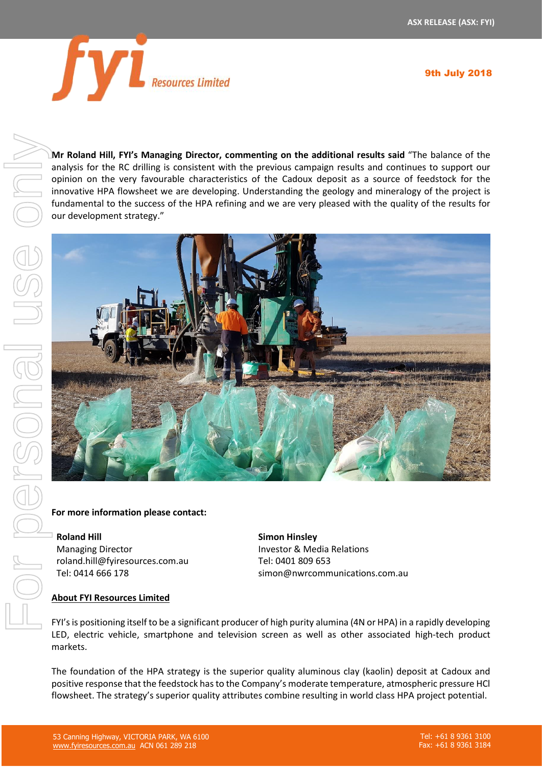

9th July 2018

**Mr Roland Hill, FYI's Managing Director, commenting on the additional results said** "The balance of the analysis for the RC drilling is consistent with the previous campaign results and continues to support our opinion on the very favourable characteristics of the Cadoux deposit as a source of feedstock for the innovative HPA flowsheet we are developing. Understanding the geology and mineralogy of the project is fundamental to the success of the HPA refining and we are very pleased with the quality of the results for our development strategy."



# **For more information please contact:**

**Roland Hill** Managing Director roland.hill@fyiresources.com.au Tel: 0414 666 178

**Simon Hinsley** Investor & Media Relations Tel: 0401 809 653 simon@nwrcommunications.com.au

#### **About FYI Resources Limited**

FYI's is positioning itself to be a significant producer of high purity alumina (4N or HPA) in a rapidly developing LED, electric vehicle, smartphone and television screen as well as other associated high-tech product markets.

The foundation of the HPA strategy is the superior quality aluminous clay (kaolin) deposit at Cadoux and positive response that the feedstock has to the Company's moderate temperature, atmospheric pressure HCl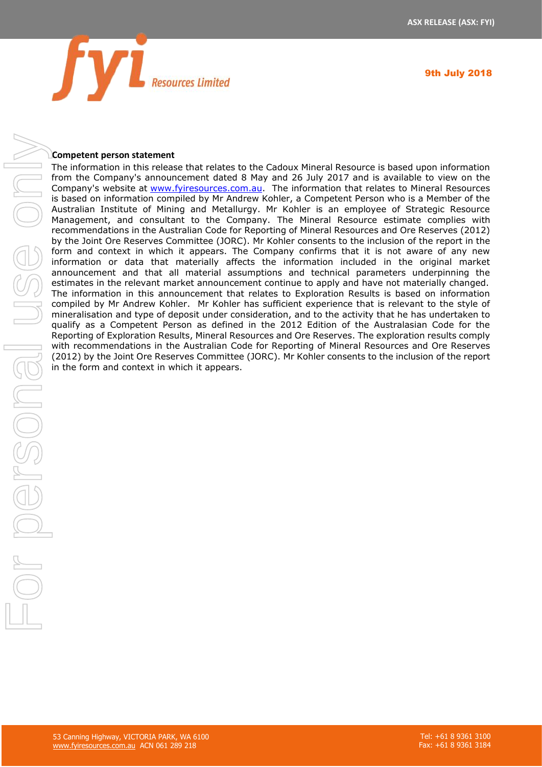



#### **Competent person statement**

The information in this release that relates to the Cadoux Mineral Resource is based upon information from the Company's announcement dated 8 May and 26 July 2017 and is available to view on the Company's website at [www.fyiresources.com.au.](http://www.fyiresources.com.au/) The information that relates to Mineral Resources is based on information compiled by Mr Andrew Kohler, a Competent Person who is a Member of the Australian Institute of Mining and Metallurgy. Mr Kohler is an employee of Strategic Resource Management, and consultant to the Company. The Mineral Resource estimate complies with recommendations in the Australian Code for Reporting of Mineral Resources and Ore Reserves (2012) by the Joint Ore Reserves Committee (JORC). Mr Kohler consents to the inclusion of the report in the form and context in which it appears. The Company confirms that it is not aware of any new information or data that materially affects the information included in the original market announcement and that all material assumptions and technical parameters underpinning the estimates in the relevant market announcement continue to apply and have not materially changed. The information in this announcement that relates to Exploration Results is based on information compiled by Mr Andrew Kohler. Mr Kohler has sufficient experience that is relevant to the style of mineralisation and type of deposit under consideration, and to the activity that he has undertaken to qualify as a Competent Person as defined in the 2012 Edition of the Australasian Code for the Reporting of Exploration Results, Mineral Resources and Ore Reserves. The exploration results comply with recommendations in the Australian Code for Reporting of Mineral Resources and Ore Reserves (2012) by the Joint Ore Reserves Committee (JORC). Mr Kohler consents to the inclusion of the report **Example 10** The form and the form and the form and the form and the form of the binding institute of Minimal Institute of Minimal Institute of Minimal Default in Management, and consultant to the Contemporal by the Joint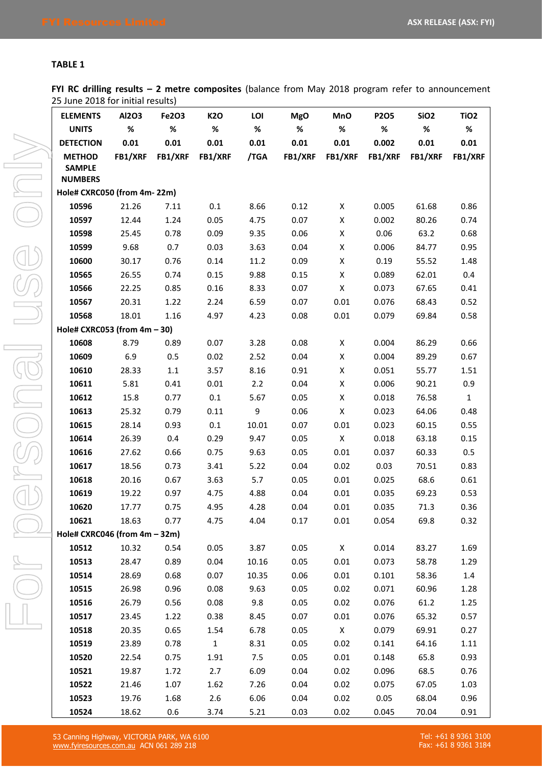### **TABLE 1**

**FYI RC drilling results – 2 metre composites** (balance from May 2018 program refer to announcement 25 June 2018 for initial results)

| <b>ELEMENTS</b>                 | Al2O3 | -- 1<br>Fe2O3          | <b>K2O</b>     | LOI   | <b>MgO</b>     | <b>MnO</b>   | <b>P2O5</b>     | SiO <sub>2</sub> | TiO <sub>2</sub> |
|---------------------------------|-------|------------------------|----------------|-------|----------------|--------------|-----------------|------------------|------------------|
| <b>UNITS</b>                    | %     | %                      | %              | $\%$  | %              | %            | %               | %                | %                |
| <b>DETECTION</b>                | 0.01  | 0.01                   | 0.01           | 0.01  | 0.01           | 0.01         | 0.002           | 0.01             | 0.01             |
| <b>METHOD</b>                   |       | <b>FB1/XRF FB1/XRF</b> | <b>FB1/XRF</b> | /TGA  | <b>FB1/XRF</b> |              | FB1/XRF FB1/XRF | <b>FB1/XRF</b>   | FB1/XRF          |
| <b>SAMPLE</b>                   |       |                        |                |       |                |              |                 |                  |                  |
| <b>NUMBERS</b>                  |       |                        |                |       |                |              |                 |                  |                  |
| Hole# CXRC050 (from 4m-22m)     |       |                        |                |       |                |              |                 |                  |                  |
| 10596                           | 21.26 | 7.11                   | 0.1            | 8.66  | 0.12           | X            | 0.005           | 61.68            | 0.86             |
| 10597                           | 12.44 | 1.24                   | 0.05           | 4.75  | 0.07           | X            | 0.002           | 80.26            | 0.74             |
| 10598                           | 25.45 | 0.78                   | 0.09           | 9.35  | 0.06           | X            | 0.06            | 63.2             | 0.68             |
| 10599                           | 9.68  | 0.7                    | 0.03           | 3.63  | 0.04           | X            | 0.006           | 84.77            | 0.95             |
| 10600                           | 30.17 | 0.76                   | 0.14           | 11.2  | 0.09           | X            | 0.19            | 55.52            | 1.48             |
| 10565                           | 26.55 | 0.74                   | 0.15           | 9.88  | 0.15           | X            | 0.089           | 62.01            | 0.4              |
| 10566                           | 22.25 | 0.85                   | 0.16           | 8.33  | 0.07           | $\mathsf{X}$ | 0.073           | 67.65            | 0.41             |
| 10567                           | 20.31 | 1.22                   | 2.24           | 6.59  | 0.07           | 0.01         | 0.076           | 68.43            | 0.52             |
| 10568                           | 18.01 | 1.16                   | 4.97           | 4.23  | 0.08           | 0.01         | 0.079           | 69.84            | 0.58             |
| Hole# CXRC053 (from $4m - 30$ ) |       |                        |                |       |                |              |                 |                  |                  |
| 10608                           | 8.79  | 0.89                   | 0.07           | 3.28  | 0.08           | X            | 0.004           | 86.29            | 0.66             |
| 10609                           | 6.9   | 0.5                    | 0.02           | 2.52  | 0.04           | X            | 0.004           | 89.29            | 0.67             |
| 10610                           | 28.33 | 1.1                    | 3.57           | 8.16  | 0.91           | X            | 0.051           | 55.77            | 1.51             |
| 10611                           | 5.81  | 0.41                   | 0.01           | 2.2   | 0.04           | X            | 0.006           | 90.21            | 0.9              |
| 10612                           | 15.8  | 0.77                   | 0.1            | 5.67  | 0.05           | $\mathsf{X}$ | 0.018           | 76.58            | $\mathbf{1}$     |
| 10613                           | 25.32 | 0.79                   | 0.11           | 9     | 0.06           | $\mathsf{X}$ | 0.023           | 64.06            | 0.48             |
| 10615                           | 28.14 | 0.93                   | 0.1            | 10.01 | 0.07           | 0.01         | 0.023           | 60.15            | 0.55             |
| 10614                           | 26.39 | 0.4                    | 0.29           | 9.47  | 0.05           | $\mathsf{X}$ | 0.018           | 63.18            | 0.15             |
| 10616                           | 27.62 | 0.66                   | 0.75           | 9.63  | 0.05           | 0.01         | 0.037           | 60.33            | 0.5              |
| 10617                           | 18.56 | 0.73                   | 3.41           | 5.22  | 0.04           | 0.02         | 0.03            | 70.51            | 0.83             |
| 10618                           | 20.16 | 0.67                   | 3.63           | 5.7   | 0.05           | 0.01         | 0.025           | 68.6             | 0.61             |
| 10619                           | 19.22 | 0.97                   | 4.75           | 4.88  | 0.04           | 0.01         | 0.035           | 69.23            | 0.53             |
| 10620                           | 17.77 | 0.75                   | 4.95           | 4.28  | 0.04           | 0.01         | 0.035           | 71.3             | 0.36             |
| 10621                           | 18.63 | 0.77                   | 4.75           | 4.04  | 0.17           | 0.01         | 0.054           | 69.8             | 0.32             |
| Hole# CXRC046 (from 4m - 32m)   |       |                        |                |       |                |              |                 |                  |                  |
| 10512                           | 10.32 | 0.54                   | 0.05           | 3.87  | 0.05           | X            | 0.014           | 83.27            | 1.69             |
| 10513                           | 28.47 | 0.89                   | 0.04           | 10.16 | 0.05           | 0.01         | 0.073           | 58.78            | 1.29             |
| 10514                           | 28.69 | 0.68                   | 0.07           | 10.35 | 0.06           | 0.01         | 0.101           | 58.36            | 1.4              |
| 10515                           | 26.98 | 0.96                   | 0.08           | 9.63  | 0.05           | 0.02         | 0.071           | 60.96            | 1.28             |
| 10516                           | 26.79 | 0.56                   | 0.08           | 9.8   | 0.05           | 0.02         | 0.076           | 61.2             | 1.25             |
| 10517                           | 23.45 | 1.22                   | 0.38           | 8.45  | 0.07           | 0.01         | 0.076           | 65.32            | 0.57             |
| 10518                           | 20.35 | 0.65                   | 1.54           | 6.78  | 0.05           | X            | 0.079           | 69.91            | 0.27             |
| 10519                           | 23.89 | 0.78                   | $\mathbf{1}$   | 8.31  | 0.05           | 0.02         | 0.141           | 64.16            | 1.11             |
| 10520                           | 22.54 | 0.75                   | 1.91           | 7.5   | 0.05           | 0.01         | 0.148           | 65.8             | 0.93             |
| 10521                           | 19.87 | 1.72                   | 2.7            | 6.09  | 0.04           | 0.02         | 0.096           | 68.5             | 0.76             |
| 10522                           | 21.46 | 1.07                   | 1.62           | 7.26  | 0.04           | 0.02         | 0.075           | 67.05            | 1.03             |
| 10523                           | 19.76 | 1.68                   | 2.6            | 6.06  | 0.04           | 0.02         | 0.05            | 68.04            | 0.96             |
| 10524                           | 18.62 | 0.6                    | 3.74           | 5.21  | 0.03           | 0.02         | 0.045           | 70.04            | 0.91             |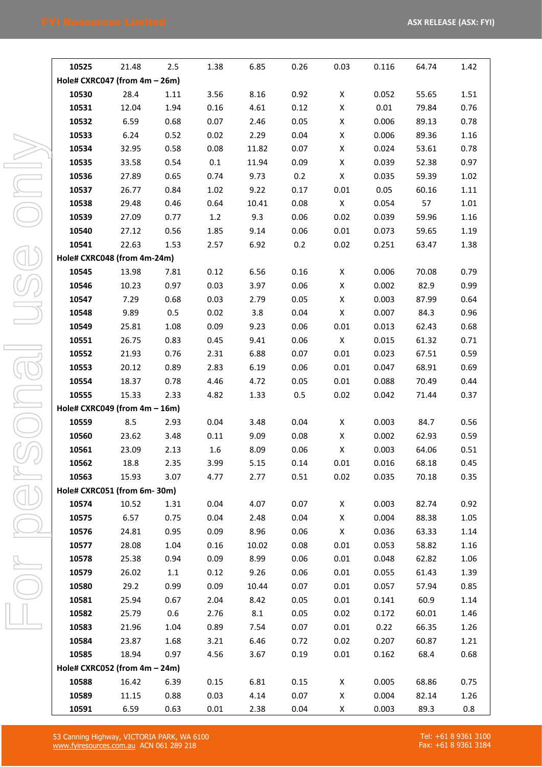| 10525                            | 21.48 | 2.5  | 1.38 | 6.85  | 0.26 | 0.03         | 0.116 | 64.74 | 1.42 |
|----------------------------------|-------|------|------|-------|------|--------------|-------|-------|------|
| Hole# CXRC047 (from $4m - 26m$ ) |       |      |      |       |      |              |       |       |      |
| 10530                            | 28.4  | 1.11 | 3.56 | 8.16  | 0.92 | X            | 0.052 | 55.65 | 1.51 |
| 10531                            | 12.04 | 1.94 | 0.16 | 4.61  | 0.12 | X            | 0.01  | 79.84 | 0.76 |
| 10532                            | 6.59  | 0.68 | 0.07 | 2.46  | 0.05 | X            | 0.006 | 89.13 | 0.78 |
| 10533                            | 6.24  | 0.52 | 0.02 | 2.29  | 0.04 | X            | 0.006 | 89.36 | 1.16 |
| 10534                            | 32.95 | 0.58 | 0.08 | 11.82 | 0.07 | X            | 0.024 | 53.61 | 0.78 |
| 10535                            | 33.58 | 0.54 | 0.1  | 11.94 | 0.09 | X            | 0.039 | 52.38 | 0.97 |
| 10536                            | 27.89 | 0.65 | 0.74 | 9.73  | 0.2  | X            | 0.035 | 59.39 | 1.02 |
| 10537                            | 26.77 | 0.84 | 1.02 | 9.22  | 0.17 | 0.01         | 0.05  | 60.16 | 1.11 |
| 10538                            | 29.48 | 0.46 | 0.64 | 10.41 | 0.08 | X            | 0.054 | 57    | 1.01 |
| 10539                            | 27.09 | 0.77 | 1.2  | 9.3   | 0.06 | 0.02         | 0.039 | 59.96 | 1.16 |
| 10540                            | 27.12 | 0.56 | 1.85 | 9.14  | 0.06 | 0.01         | 0.073 | 59.65 | 1.19 |
| 10541                            | 22.63 | 1.53 | 2.57 | 6.92  | 0.2  | 0.02         | 0.251 | 63.47 | 1.38 |
| Hole# CXRC048 (from 4m-24m)      |       |      |      |       |      |              |       |       |      |
| 10545                            | 13.98 | 7.81 | 0.12 | 6.56  | 0.16 | X            | 0.006 | 70.08 | 0.79 |
| 10546                            | 10.23 | 0.97 | 0.03 | 3.97  | 0.06 | X            | 0.002 | 82.9  | 0.99 |
| 10547                            | 7.29  | 0.68 | 0.03 | 2.79  | 0.05 | X            | 0.003 | 87.99 | 0.64 |
| 10548                            | 9.89  | 0.5  | 0.02 | 3.8   | 0.04 | X            | 0.007 | 84.3  | 0.96 |
| 10549                            | 25.81 | 1.08 | 0.09 | 9.23  | 0.06 | 0.01         | 0.013 | 62.43 | 0.68 |
| 10551                            | 26.75 | 0.83 | 0.45 | 9.41  | 0.06 | $\mathsf{X}$ | 0.015 | 61.32 | 0.71 |
| 10552                            | 21.93 | 0.76 | 2.31 | 6.88  | 0.07 | 0.01         | 0.023 | 67.51 | 0.59 |
| 10553                            | 20.12 | 0.89 | 2.83 | 6.19  | 0.06 | 0.01         | 0.047 | 68.91 | 0.69 |
| 10554                            | 18.37 | 0.78 | 4.46 | 4.72  | 0.05 | 0.01         | 0.088 | 70.49 | 0.44 |
| 10555                            | 15.33 | 2.33 | 4.82 | 1.33  | 0.5  | 0.02         | 0.042 | 71.44 | 0.37 |
| Hole# CXRC049 (from 4m - 16m)    |       |      |      |       |      |              |       |       |      |
| 10559                            | 8.5   | 2.93 | 0.04 | 3.48  | 0.04 | X            | 0.003 | 84.7  | 0.56 |
| 10560                            | 23.62 | 3.48 | 0.11 | 9.09  | 0.08 | X            | 0.002 | 62.93 | 0.59 |
| 10561                            | 23.09 | 2.13 | 1.6  | 8.09  | 0.06 | X            | 0.003 | 64.06 | 0.51 |
| 10562                            | 18.8  | 2.35 | 3.99 | 5.15  | 0.14 | 0.01         | 0.016 | 68.18 | 0.45 |
| 10563                            | 15.93 | 3.07 | 4.77 | 2.77  | 0.51 | 0.02         | 0.035 | 70.18 | 0.35 |
| Hole# CXRC051 (from 6m-30m)      |       |      |      |       |      |              |       |       |      |
| 10574                            | 10.52 | 1.31 | 0.04 | 4.07  | 0.07 | X            | 0.003 | 82.74 | 0.92 |
| 10575                            | 6.57  | 0.75 | 0.04 | 2.48  | 0.04 | $\mathsf{X}$ | 0.004 | 88.38 | 1.05 |
| 10576                            | 24.81 | 0.95 | 0.09 | 8.96  | 0.06 | $\mathsf{X}$ | 0.036 | 63.33 | 1.14 |
| 10577                            | 28.08 | 1.04 | 0.16 | 10.02 | 0.08 | 0.01         | 0.053 | 58.82 | 1.16 |
| 10578                            | 25.38 | 0.94 | 0.09 | 8.99  | 0.06 | 0.01         | 0.048 | 62.82 | 1.06 |
| 10579                            | 26.02 | 1.1  | 0.12 | 9.26  | 0.06 | 0.01         | 0.055 | 61.43 | 1.39 |
| 10580                            | 29.2  | 0.99 | 0.09 | 10.44 | 0.07 | 0.01         | 0.057 | 57.94 | 0.85 |
| 10581                            | 25.94 | 0.67 | 2.04 | 8.42  | 0.05 | 0.01         | 0.141 | 60.9  | 1.14 |
| 10582                            | 25.79 | 0.6  | 2.76 | 8.1   | 0.05 | 0.02         | 0.172 | 60.01 | 1.46 |
| 10583                            | 21.96 | 1.04 | 0.89 | 7.54  | 0.07 | 0.01         | 0.22  | 66.35 | 1.26 |
| 10584                            | 23.87 | 1.68 | 3.21 | 6.46  | 0.72 | 0.02         | 0.207 | 60.87 | 1.21 |
| 10585                            | 18.94 | 0.97 | 4.56 | 3.67  | 0.19 | 0.01         | 0.162 | 68.4  | 0.68 |
| Hole# CXRC052 (from 4m - 24m)    |       |      |      |       |      |              |       |       |      |
| 10588                            | 16.42 | 6.39 | 0.15 | 6.81  | 0.15 | X            | 0.005 | 68.86 | 0.75 |
| 10589                            | 11.15 | 0.88 | 0.03 | 4.14  | 0.07 | X            | 0.004 | 82.14 | 1.26 |
| 10591                            | 6.59  | 0.63 | 0.01 | 2.38  | 0.04 | X            | 0.003 | 89.3  | 0.8  |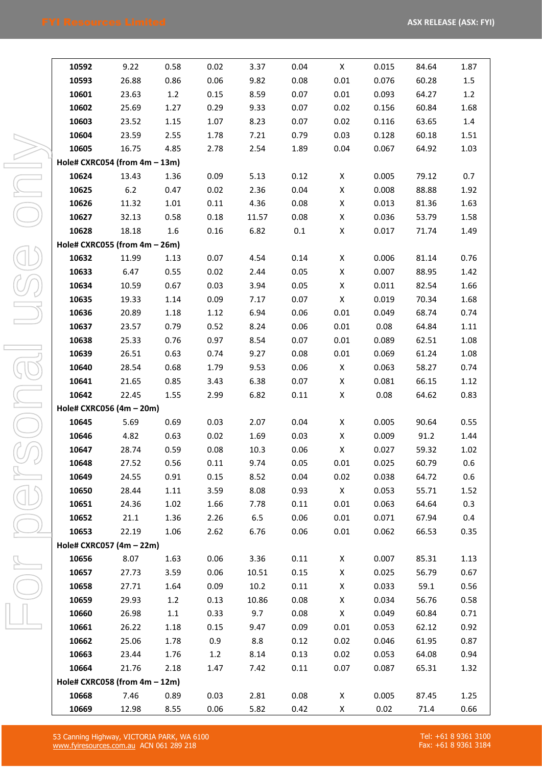| 10592                            | 9.22  | 0.58    | 0.02         | 3.37         | 0.04         | X                    | 0.015 | 84.64 | 1.87 |
|----------------------------------|-------|---------|--------------|--------------|--------------|----------------------|-------|-------|------|
| 10593                            | 26.88 | 0.86    | 0.06         | 9.82         | 0.08         | 0.01                 | 0.076 | 60.28 | 1.5  |
| 10601                            | 23.63 | 1.2     | 0.15         | 8.59         | 0.07         | 0.01                 | 0.093 | 64.27 | 1.2  |
| 10602                            | 25.69 | 1.27    | 0.29         | 9.33         | 0.07         | 0.02                 | 0.156 | 60.84 | 1.68 |
| 10603                            | 23.52 | 1.15    | 1.07         | 8.23         | 0.07         | 0.02                 | 0.116 | 63.65 | 1.4  |
| 10604                            | 23.59 | 2.55    | 1.78         | 7.21         | 0.79         | 0.03                 | 0.128 | 60.18 | 1.51 |
| 10605                            | 16.75 | 4.85    | 2.78         | 2.54         | 1.89         | 0.04                 | 0.067 | 64.92 | 1.03 |
| Hole# CXRC054 (from $4m - 13m$ ) |       |         |              |              |              |                      |       |       |      |
| 10624                            | 13.43 | 1.36    | 0.09         | 5.13         | 0.12         | X                    | 0.005 | 79.12 | 0.7  |
| 10625                            | 6.2   | 0.47    | 0.02         | 2.36         | 0.04         | X                    | 0.008 | 88.88 | 1.92 |
| 10626                            | 11.32 | 1.01    | 0.11         | 4.36         | 0.08         | X                    | 0.013 | 81.36 | 1.63 |
| 10627                            | 32.13 | 0.58    | 0.18         | 11.57        | 0.08         | X                    | 0.036 | 53.79 | 1.58 |
| 10628                            | 18.18 | 1.6     | 0.16         | 6.82         | 0.1          | X                    | 0.017 | 71.74 | 1.49 |
| Hole# CXRC055 (from 4m - 26m)    |       |         |              |              |              |                      |       |       |      |
| 10632                            | 11.99 | 1.13    | 0.07         | 4.54         | 0.14         | X                    | 0.006 | 81.14 | 0.76 |
| 10633                            | 6.47  | 0.55    | 0.02         | 2.44         | 0.05         | X                    | 0.007 | 88.95 | 1.42 |
| 10634                            | 10.59 | 0.67    | 0.03         | 3.94         | 0.05         | X                    | 0.011 | 82.54 | 1.66 |
| 10635                            | 19.33 | 1.14    | 0.09         | 7.17         | 0.07         | X                    | 0.019 | 70.34 | 1.68 |
| 10636                            | 20.89 | 1.18    | 1.12         | 6.94         | 0.06         | 0.01                 | 0.049 | 68.74 | 0.74 |
| 10637                            | 23.57 | 0.79    | 0.52         | 8.24         | 0.06         | 0.01                 | 0.08  | 64.84 | 1.11 |
| 10638                            | 25.33 | 0.76    | 0.97         | 8.54         | 0.07         | 0.01                 | 0.089 | 62.51 | 1.08 |
| 10639                            | 26.51 | 0.63    | 0.74         | 9.27         | 0.08         | 0.01                 | 0.069 | 61.24 | 1.08 |
| 10640                            | 28.54 | 0.68    | 1.79         | 9.53         | 0.06         | X                    | 0.063 | 58.27 | 0.74 |
| 10641                            | 21.65 | 0.85    | 3.43         | 6.38         | 0.07         | X                    | 0.081 | 66.15 | 1.12 |
| 10642                            | 22.45 | 1.55    | 2.99         | 6.82         | 0.11         | X                    | 0.08  | 64.62 | 0.83 |
| Hole# CXRC056 (4m - 20m)         |       |         |              |              |              |                      |       |       |      |
| 10645                            | 5.69  | 0.69    | 0.03         | 2.07         | 0.04         | X                    | 0.005 | 90.64 | 0.55 |
| 10646                            | 4.82  | 0.63    | 0.02         | 1.69         | 0.03         | X                    | 0.009 | 91.2  | 1.44 |
| 10647                            | 28.74 | 0.59    | 0.08         | 10.3         | 0.06         | X                    | 0.027 | 59.32 | 1.02 |
|                                  |       |         |              |              |              |                      |       |       |      |
| 10648                            | 27.52 | 0.56    | 0.11         | 9.74         | 0.05         | 0.01                 | 0.025 | 60.79 | 0.6  |
| 10649<br>10650                   | 24.55 | 0.91    | 0.15<br>3.59 | 8.52<br>8.08 | 0.04<br>0.93 | 0.02<br>$\mathsf{X}$ | 0.038 | 64.72 | 0.6  |
|                                  | 28.44 | 1.11    |              |              |              |                      | 0.053 | 55.71 | 1.52 |
| 10651                            | 24.36 | 1.02    | 1.66         | 7.78         | 0.11         | 0.01                 | 0.063 | 64.64 | 0.3  |
| 10652                            | 21.1  | 1.36    | 2.26         | 6.5          | 0.06         | 0.01                 | 0.071 | 67.94 | 0.4  |
| 10653                            | 22.19 | 1.06    | 2.62         | 6.76         | 0.06         | 0.01                 | 0.062 | 66.53 | 0.35 |
| Hole# CXRC057 (4m - 22m)         |       |         |              |              |              |                      |       |       |      |
| 10656                            | 8.07  | 1.63    | 0.06         | 3.36         | 0.11         | X                    | 0.007 | 85.31 | 1.13 |
| 10657                            | 27.73 | 3.59    | 0.06         | 10.51        | 0.15         | X                    | 0.025 | 56.79 | 0.67 |
| 10658                            | 27.71 | 1.64    | 0.09         | 10.2         | 0.11         | X                    | 0.033 | 59.1  | 0.56 |
| 10659                            | 29.93 | 1.2     | 0.13         | 10.86        | 0.08         | X                    | 0.034 | 56.76 | 0.58 |
| 10660                            | 26.98 | $1.1\,$ | 0.33         | 9.7          | 0.08         | X                    | 0.049 | 60.84 | 0.71 |
| 10661                            | 26.22 | 1.18    | 0.15         | 9.47         | 0.09         | 0.01                 | 0.053 | 62.12 | 0.92 |
| 10662                            | 25.06 | 1.78    | 0.9          | 8.8          | 0.12         | 0.02                 | 0.046 | 61.95 | 0.87 |
| 10663                            | 23.44 | 1.76    | 1.2          | 8.14         | 0.13         | 0.02                 | 0.053 | 64.08 | 0.94 |
| 10664                            | 21.76 | 2.18    | 1.47         | 7.42         | 0.11         | 0.07                 | 0.087 | 65.31 | 1.32 |
| Hole# CXRC058 (from $4m - 12m$ ) |       |         |              |              |              |                      |       |       |      |
| 10668                            | 7.46  | 0.89    | 0.03         | 2.81         | 0.08         | X                    | 0.005 | 87.45 | 1.25 |
| 10669                            | 12.98 | 8.55    | 0.06         | 5.82         | 0.42         | X                    | 0.02  | 71.4  | 0.66 |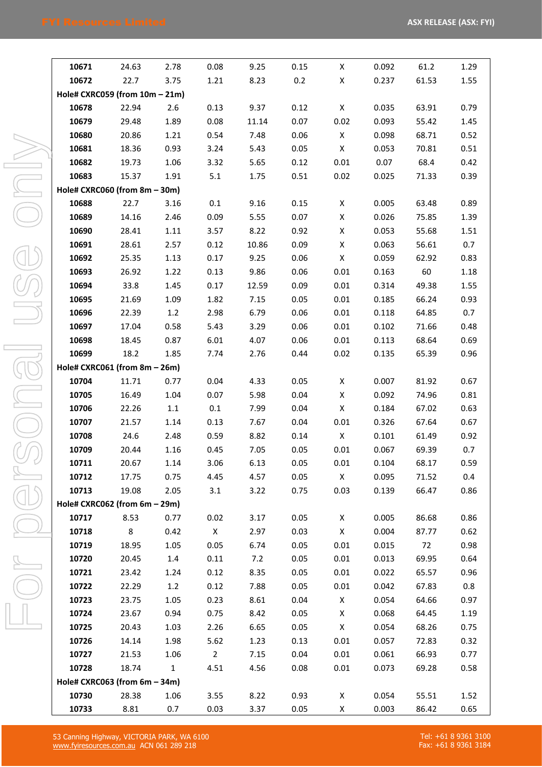| 10671                            | 24.63 | 2.78         | 0.08        | 9.25  | 0.15 | X            | 0.092 | 61.2        | 1.29 |
|----------------------------------|-------|--------------|-------------|-------|------|--------------|-------|-------------|------|
| 10672                            | 22.7  | 3.75         | 1.21        | 8.23  | 0.2  | X            | 0.237 | 61.53       | 1.55 |
| Hole# CXRC059 (from 10m - 21m)   |       |              |             |       |      |              |       |             |      |
| 10678                            | 22.94 | 2.6          | 0.13        | 9.37  | 0.12 | $\mathsf{X}$ | 0.035 | 63.91       | 0.79 |
| 10679                            | 29.48 | 1.89         | 0.08        | 11.14 | 0.07 | 0.02         | 0.093 | 55.42       | 1.45 |
| 10680                            | 20.86 | 1.21         | 0.54        | 7.48  | 0.06 | $\mathsf{X}$ | 0.098 | 68.71       | 0.52 |
| 10681                            | 18.36 | 0.93         | 3.24        | 5.43  | 0.05 | $\mathsf{X}$ | 0.053 | 70.81       | 0.51 |
| 10682                            | 19.73 | 1.06         | 3.32        | 5.65  | 0.12 | 0.01         | 0.07  | 68.4        | 0.42 |
| 10683                            | 15.37 | 1.91         | 5.1         | 1.75  | 0.51 | 0.02         | 0.025 | 71.33       | 0.39 |
| Hole# CXRC060 (from 8m - 30m)    |       |              |             |       |      |              |       |             |      |
| 10688                            | 22.7  | 3.16         | 0.1         | 9.16  | 0.15 | X            | 0.005 | 63.48       | 0.89 |
| 10689                            | 14.16 | 2.46         | 0.09        | 5.55  | 0.07 | $\mathsf{X}$ | 0.026 | 75.85       | 1.39 |
| 10690                            | 28.41 | 1.11         | 3.57        | 8.22  | 0.92 | X            | 0.053 | 55.68       | 1.51 |
| 10691                            | 28.61 | 2.57         | 0.12        | 10.86 | 0.09 | X            | 0.063 | 56.61       | 0.7  |
| 10692                            | 25.35 | 1.13         | 0.17        | 9.25  | 0.06 | $\mathsf{X}$ | 0.059 | 62.92       | 0.83 |
| 10693                            | 26.92 | 1.22         | 0.13        | 9.86  | 0.06 | 0.01         | 0.163 | 60          | 1.18 |
| 10694                            | 33.8  | 1.45         | 0.17        | 12.59 | 0.09 | 0.01         | 0.314 | 49.38       | 1.55 |
| 10695                            | 21.69 | 1.09         | 1.82        | 7.15  | 0.05 | 0.01         | 0.185 | 66.24       | 0.93 |
| 10696                            | 22.39 | 1.2          | 2.98        | 6.79  | 0.06 | 0.01         | 0.118 | 64.85       | 0.7  |
| 10697                            | 17.04 | 0.58         | 5.43        | 3.29  | 0.06 | 0.01         | 0.102 | 71.66       | 0.48 |
| 10698                            | 18.45 | 0.87         | 6.01        | 4.07  | 0.06 | 0.01         | 0.113 | 68.64       | 0.69 |
| 10699                            | 18.2  | 1.85         | 7.74        | 2.76  | 0.44 | 0.02         | 0.135 | 65.39       | 0.96 |
| Hole# CXRC061 (from 8m - 26m)    |       |              |             |       |      |              |       |             |      |
| 10704                            | 11.71 | 0.77         | 0.04        | 4.33  | 0.05 | X            | 0.007 | 81.92       | 0.67 |
| 10705                            | 16.49 | 1.04         | 0.07        | 5.98  | 0.04 | $\mathsf{X}$ | 0.092 | 74.96       | 0.81 |
| 10706                            | 22.26 | 1.1          | 0.1         | 7.99  | 0.04 | $\mathsf{X}$ | 0.184 | 67.02       | 0.63 |
| 10707                            | 21.57 | 1.14         | 0.13        | 7.67  | 0.04 | 0.01         | 0.326 | 67.64       | 0.67 |
| 10708                            | 24.6  | 2.48         | 0.59        | 8.82  | 0.14 | $\mathsf{X}$ | 0.101 | 61.49       | 0.92 |
| 10709                            | 20.44 | 1.16         | 0.45        | 7.05  | 0.05 | 0.01         | 0.067 | 69.39       | 0.7  |
| 10711                            | 20.67 | 1.14         | 3.06        | 6.13  | 0.05 | 0.01         |       | 0.104 68.17 | 0.59 |
| 10712                            | 17.75 | 0.75         | 4.45        | 4.57  | 0.05 | X            | 0.095 | 71.52       | 0.4  |
| 10713                            | 19.08 | 2.05         | 3.1         | 3.22  | 0.75 | 0.03         | 0.139 | 66.47       | 0.86 |
| Hole# CXRC062 (from 6m - 29m)    |       |              |             |       |      |              |       |             |      |
| 10717                            | 8.53  | 0.77         | 0.02        | 3.17  | 0.05 | X            | 0.005 | 86.68       | 0.86 |
| 10718                            | 8     | 0.42         | X           | 2.97  | 0.03 | $\mathsf{X}$ | 0.004 | 87.77       | 0.62 |
| 10719                            | 18.95 | 1.05         | 0.05        | 6.74  | 0.05 | 0.01         | 0.015 | 72          | 0.98 |
| 10720                            | 20.45 | 1.4          | 0.11        | 7.2   | 0.05 | 0.01         | 0.013 | 69.95       | 0.64 |
| 10721                            | 23.42 | 1.24         | 0.12        | 8.35  | 0.05 | 0.01         | 0.022 | 65.57       | 0.96 |
| 10722                            | 22.29 | 1.2          | 0.12        | 7.88  | 0.05 | 0.01         | 0.042 | 67.83       | 0.8  |
| 10723                            | 23.75 | 1.05         | 0.23        | 8.61  | 0.04 | X            | 0.054 | 64.66       | 0.97 |
| 10724                            | 23.67 | 0.94         | 0.75        | 8.42  | 0.05 | X            | 0.068 | 64.45       | 1.19 |
| 10725                            | 20.43 | 1.03         | 2.26        | 6.65  | 0.05 | $\mathsf X$  | 0.054 | 68.26       | 0.75 |
| 10726                            | 14.14 | 1.98         | 5.62        | 1.23  | 0.13 | 0.01         | 0.057 | 72.83       | 0.32 |
| 10727                            | 21.53 | 1.06         | $2^{\circ}$ | 7.15  | 0.04 | 0.01         | 0.061 | 66.93       | 0.77 |
| 10728                            | 18.74 | $\mathbf{1}$ | 4.51        | 4.56  | 0.08 | 0.01         | 0.073 | 69.28       | 0.58 |
| Hole# CXRC063 (from $6m - 34m$ ) |       |              |             |       |      |              |       |             |      |
| 10730                            | 28.38 | 1.06         | 3.55        | 8.22  | 0.93 | X            | 0.054 | 55.51       | 1.52 |
| 10733                            | 8.81  | 0.7          | 0.03        | 3.37  | 0.05 | X            | 0.003 | 86.42       | 0.65 |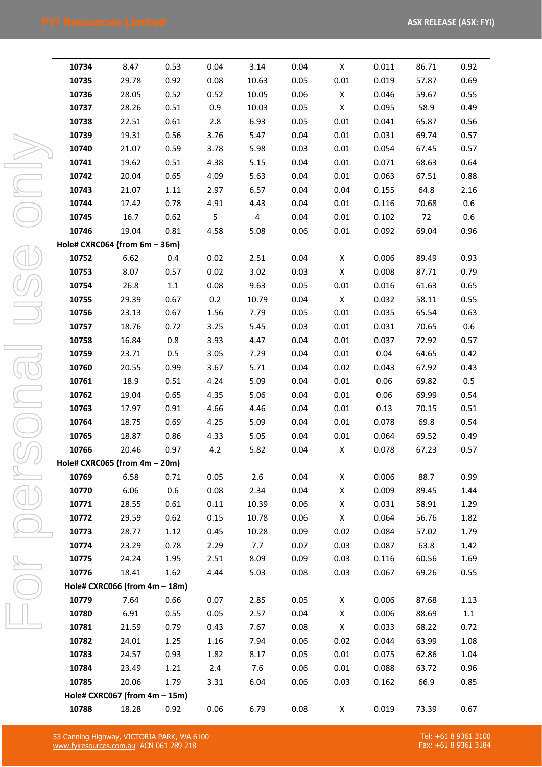| ĺ               |  |
|-----------------|--|
|                 |  |
|                 |  |
|                 |  |
|                 |  |
| l               |  |
|                 |  |
| <u>(W)</u><br>ļ |  |
| O               |  |
| a<br>Lin        |  |

| 10734 | 8.47                             | 0.53    | 0.04 | 3.14           | 0.04 | X            | 0.011 | 86.71 | 0.92    |
|-------|----------------------------------|---------|------|----------------|------|--------------|-------|-------|---------|
| 10735 | 29.78                            | 0.92    | 0.08 | 10.63          | 0.05 | 0.01         | 0.019 | 57.87 | 0.69    |
| 10736 | 28.05                            | 0.52    | 0.52 | 10.05          | 0.06 | X            | 0.046 | 59.67 | 0.55    |
| 10737 | 28.26                            | 0.51    | 0.9  | 10.03          | 0.05 | $\mathsf{X}$ | 0.095 | 58.9  | 0.49    |
| 10738 | 22.51                            | 0.61    | 2.8  | 6.93           | 0.05 | 0.01         | 0.041 | 65.87 | 0.56    |
| 10739 | 19.31                            | 0.56    | 3.76 | 5.47           | 0.04 | 0.01         | 0.031 | 69.74 | 0.57    |
| 10740 | 21.07                            | 0.59    | 3.78 | 5.98           | 0.03 | 0.01         | 0.054 | 67.45 | 0.57    |
| 10741 | 19.62                            | 0.51    | 4.38 | 5.15           | 0.04 | 0.01         | 0.071 | 68.63 | 0.64    |
| 10742 | 20.04                            | 0.65    | 4.09 | 5.63           | 0.04 | 0.01         | 0.063 | 67.51 | 0.88    |
| 10743 | 21.07                            | 1.11    | 2.97 | 6.57           | 0.04 | 0.04         | 0.155 | 64.8  | 2.16    |
| 10744 | 17.42                            | 0.78    | 4.91 | 4.43           | 0.04 | 0.01         | 0.116 | 70.68 | 0.6     |
| 10745 | 16.7                             | 0.62    | 5    | $\overline{4}$ | 0.04 | 0.01         | 0.102 | 72    | 0.6     |
| 10746 | 19.04                            | 0.81    | 4.58 | 5.08           | 0.06 | 0.01         | 0.092 | 69.04 | 0.96    |
|       | Hole# CXRC064 (from 6m - 36m)    |         |      |                |      |              |       |       |         |
| 10752 | 6.62                             | 0.4     | 0.02 | 2.51           | 0.04 | X            | 0.006 | 89.49 | 0.93    |
| 10753 | 8.07                             | 0.57    | 0.02 | 3.02           | 0.03 | $\mathsf{X}$ | 0.008 | 87.71 | 0.79    |
| 10754 | 26.8                             | $1.1\,$ | 0.08 | 9.63           | 0.05 | 0.01         | 0.016 | 61.63 | 0.65    |
| 10755 | 29.39                            | 0.67    | 0.2  | 10.79          | 0.04 | $\mathsf{X}$ | 0.032 | 58.11 | 0.55    |
| 10756 | 23.13                            | 0.67    | 1.56 | 7.79           | 0.05 | 0.01         | 0.035 | 65.54 | 0.63    |
| 10757 | 18.76                            | 0.72    | 3.25 | 5.45           | 0.03 | 0.01         | 0.031 | 70.65 | 0.6     |
| 10758 | 16.84                            | 0.8     | 3.93 | 4.47           | 0.04 | 0.01         | 0.037 | 72.92 | 0.57    |
| 10759 | 23.71                            | 0.5     | 3.05 | 7.29           | 0.04 | 0.01         | 0.04  | 64.65 | 0.42    |
| 10760 | 20.55                            | 0.99    | 3.67 | 5.71           | 0.04 | 0.02         | 0.043 | 67.92 | 0.43    |
| 10761 | 18.9                             | 0.51    | 4.24 | 5.09           | 0.04 | 0.01         | 0.06  | 69.82 | 0.5     |
| 10762 | 19.04                            | 0.65    | 4.35 | 5.06           | 0.04 | 0.01         | 0.06  | 69.99 | 0.54    |
| 10763 | 17.97                            | 0.91    | 4.66 | 4.46           | 0.04 | 0.01         | 0.13  | 70.15 | 0.51    |
| 10764 | 18.75                            | 0.69    | 4.25 | 5.09           | 0.04 | 0.01         | 0.078 | 69.8  | 0.54    |
| 10765 | 18.87                            | 0.86    | 4.33 | 5.05           | 0.04 | 0.01         | 0.064 | 69.52 | 0.49    |
| 10766 | 20.46                            | 0.97    | 4.2  | 5.82           | 0.04 | X            | 0.078 | 67.23 | 0.57    |
|       | Hole# CXRC065 (from 4m - 20m)    |         |      |                |      |              |       |       |         |
| 10769 | 6.58                             | 0.71    | 0.05 | 2.6            | 0.04 | X            | 0.006 | 88.7  | 0.99    |
| 10770 | 6.06                             | 0.6     | 0.08 | 2.34           | 0.04 | Χ            | 0.009 | 89.45 | 1.44    |
| 10771 | 28.55                            | 0.61    | 0.11 | 10.39          | 0.06 | X            | 0.031 | 58.91 | 1.29    |
| 10772 | 29.59                            | 0.62    | 0.15 | 10.78          | 0.06 | X            | 0.064 | 56.76 | 1.82    |
| 10773 | 28.77                            | 1.12    | 0.45 | 10.28          | 0.09 | 0.02         | 0.084 | 57.02 | 1.79    |
| 10774 | 23.29                            | 0.78    | 2.29 | 7.7            | 0.07 | 0.03         | 0.087 | 63.8  | 1.42    |
| 10775 | 24.24                            | 1.95    | 2.51 | 8.09           | 0.09 | 0.03         | 0.116 | 60.56 | 1.69    |
| 10776 | 18.41                            | 1.62    | 4.44 | 5.03           | 0.08 | 0.03         | 0.067 | 69.26 | 0.55    |
|       | Hole# CXRC066 (from 4m - 18m)    |         |      |                |      |              |       |       |         |
| 10779 | 7.64                             | 0.66    | 0.07 | 2.85           | 0.05 | X            | 0.006 | 87.68 | 1.13    |
| 10780 | 6.91                             | 0.55    | 0.05 | 2.57           | 0.04 | X            | 0.006 | 88.69 | $1.1\,$ |
| 10781 | 21.59                            | 0.79    | 0.43 | 7.67           | 0.08 | X            | 0.033 | 68.22 | 0.72    |
| 10782 | 24.01                            | 1.25    | 1.16 | 7.94           | 0.06 | 0.02         | 0.044 | 63.99 | 1.08    |
| 10783 | 24.57                            | 0.93    | 1.82 | 8.17           | 0.05 | 0.01         | 0.075 | 62.86 | 1.04    |
| 10784 | 23.49                            | 1.21    | 2.4  | 7.6            | 0.06 | 0.01         | 0.088 | 63.72 | 0.96    |
| 10785 | 20.06                            | 1.79    | 3.31 | 6.04           | 0.06 | 0.03         | 0.162 | 66.9  | 0.85    |
|       | Hole# CXRC067 (from $4m - 15m$ ) |         |      |                |      |              |       |       |         |
| 10788 | 18.28                            | 0.92    | 0.06 | 6.79           | 0.08 | X            | 0.019 | 73.39 | 0.67    |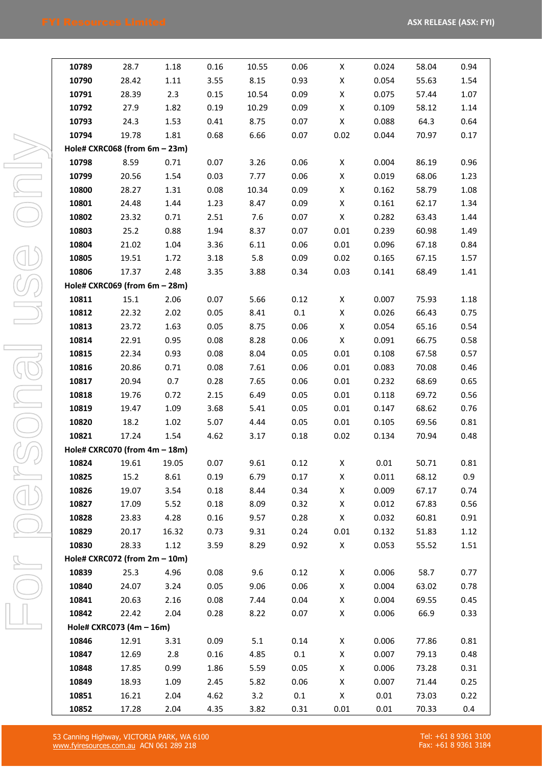| 10789 | 28.7                                  | 1.18  | 0.16 | 10.55       | 0.06         | X            | 0.024 | 58.04 | 0.94 |
|-------|---------------------------------------|-------|------|-------------|--------------|--------------|-------|-------|------|
| 10790 | 28.42                                 | 1.11  | 3.55 | 8.15        | 0.93         | X            | 0.054 | 55.63 | 1.54 |
| 10791 | 28.39                                 | 2.3   | 0.15 | 10.54       | 0.09         | $\mathsf{X}$ | 0.075 | 57.44 | 1.07 |
| 10792 | 27.9                                  | 1.82  | 0.19 | 10.29       | 0.09         | $\mathsf{X}$ | 0.109 | 58.12 | 1.14 |
| 10793 | 24.3                                  | 1.53  | 0.41 | 8.75        | 0.07         | $\mathsf{X}$ | 0.088 | 64.3  | 0.64 |
| 10794 | 19.78                                 | 1.81  | 0.68 | 6.66        | 0.07         | 0.02         | 0.044 | 70.97 | 0.17 |
|       | Hole# CXRC068 (from 6m - 23m)         |       |      |             |              |              |       |       |      |
| 10798 | 8.59                                  | 0.71  | 0.07 | 3.26        | 0.06         | X            | 0.004 | 86.19 | 0.96 |
| 10799 | 20.56                                 | 1.54  | 0.03 | 7.77        | 0.06         | $\mathsf{X}$ | 0.019 | 68.06 | 1.23 |
| 10800 | 28.27                                 | 1.31  | 0.08 | 10.34       | 0.09         | $\mathsf{X}$ | 0.162 | 58.79 | 1.08 |
| 10801 | 24.48                                 | 1.44  | 1.23 | 8.47        | 0.09         | $\mathsf{X}$ | 0.161 | 62.17 | 1.34 |
| 10802 | 23.32                                 | 0.71  | 2.51 | 7.6         | 0.07         | $\mathsf{X}$ | 0.282 | 63.43 | 1.44 |
| 10803 | 25.2                                  | 0.88  | 1.94 | 8.37        | 0.07         | 0.01         | 0.239 | 60.98 | 1.49 |
| 10804 | 21.02                                 | 1.04  | 3.36 | 6.11        | 0.06         | 0.01         | 0.096 | 67.18 | 0.84 |
| 10805 | 19.51                                 | 1.72  | 3.18 | 5.8         | 0.09         | 0.02         | 0.165 | 67.15 | 1.57 |
| 10806 | 17.37                                 | 2.48  | 3.35 | 3.88        | 0.34         | 0.03         | 0.141 | 68.49 | 1.41 |
|       | Hole# CXRC069 (from 6m - 28m)         |       |      |             |              |              |       |       |      |
| 10811 | 15.1                                  | 2.06  | 0.07 | 5.66        | 0.12         | $\mathsf{X}$ | 0.007 | 75.93 | 1.18 |
| 10812 | 22.32                                 | 2.02  | 0.05 | 8.41        | 0.1          | $\mathsf{X}$ | 0.026 | 66.43 | 0.75 |
| 10813 | 23.72                                 | 1.63  | 0.05 | 8.75        | 0.06         | $\mathsf{X}$ | 0.054 | 65.16 | 0.54 |
| 10814 | 22.91                                 | 0.95  | 0.08 | 8.28        | 0.06         | $\mathsf{X}$ | 0.091 | 66.75 | 0.58 |
| 10815 | 22.34                                 | 0.93  | 0.08 | 8.04        | 0.05         | 0.01         | 0.108 | 67.58 | 0.57 |
| 10816 | 20.86                                 | 0.71  | 0.08 | 7.61        | 0.06         | 0.01         | 0.083 | 70.08 | 0.46 |
| 10817 | 20.94                                 | 0.7   | 0.28 | 7.65        | 0.06         | 0.01         | 0.232 | 68.69 | 0.65 |
| 10818 | 19.76                                 | 0.72  | 2.15 | 6.49        | 0.05         | 0.01         | 0.118 | 69.72 | 0.56 |
| 10819 | 19.47                                 | 1.09  | 3.68 | 5.41        | 0.05         | 0.01         | 0.147 | 68.62 | 0.76 |
| 10820 | 18.2                                  | 1.02  | 5.07 | 4.44        | 0.05         | 0.01         | 0.105 | 69.56 | 0.81 |
| 10821 | 17.24                                 | 1.54  | 4.62 | 3.17        | 0.18         | 0.02         | 0.134 | 70.94 | 0.48 |
|       | Hole# CXRC070 (from 4m - 18m)         |       |      |             |              |              |       |       |      |
|       | 10824 19.61 19.05 0.07                |       |      | 9.61        | 0.12         | X            | 0.01  | 50.71 | 0.81 |
| 10825 | 15.2                                  | 8.61  | 0.19 | 6.79        | 0.17         | X            | 0.011 | 68.12 | 0.9  |
| 10826 | 19.07                                 | 3.54  | 0.18 | 8.44        | 0.34         | X            | 0.009 | 67.17 | 0.74 |
| 10827 | 17.09                                 | 5.52  | 0.18 | 8.09        | 0.32         | X            | 0.012 | 67.83 | 0.56 |
| 10828 | 23.83                                 | 4.28  | 0.16 | 9.57        | 0.28         | X            | 0.032 | 60.81 | 0.91 |
| 10829 | 20.17                                 | 16.32 | 0.73 | 9.31        | 0.24         | 0.01         | 0.132 | 51.83 | 1.12 |
| 10830 | 28.33                                 | 1.12  | 3.59 | 8.29        | 0.92         | $\mathsf{X}$ | 0.053 | 55.52 | 1.51 |
| 10839 | Hole# CXRC072 (from 2m - 10m)<br>25.3 | 4.96  | 0.08 |             |              | X            | 0.006 | 58.7  | 0.77 |
| 10840 | 24.07                                 | 3.24  | 0.05 | 9.6<br>9.06 | 0.12<br>0.06 | X            | 0.004 | 63.02 | 0.78 |
| 10841 | 20.63                                 | 2.16  | 0.08 | 7.44        | 0.04         | X            | 0.004 | 69.55 | 0.45 |
| 10842 | 22.42                                 | 2.04  | 0.28 | 8.22        | 0.07         | X            | 0.006 | 66.9  | 0.33 |
|       | Hole# CXRC073 (4m - 16m)              |       |      |             |              |              |       |       |      |
| 10846 | 12.91                                 | 3.31  | 0.09 | 5.1         | 0.14         | X            | 0.006 | 77.86 | 0.81 |
| 10847 | 12.69                                 | 2.8   | 0.16 | 4.85        | 0.1          | X            | 0.007 | 79.13 | 0.48 |
| 10848 | 17.85                                 | 0.99  | 1.86 | 5.59        | 0.05         | X            | 0.006 | 73.28 | 0.31 |
| 10849 | 18.93                                 | 1.09  | 2.45 | 5.82        | 0.06         | X            | 0.007 | 71.44 | 0.25 |
| 10851 | 16.21                                 | 2.04  | 4.62 | 3.2         | 0.1          | X            | 0.01  | 73.03 | 0.22 |
| 10852 | 17.28                                 | 2.04  | 4.35 | 3.82        | 0.31         | 0.01         | 0.01  | 70.33 | 0.4  |
|       |                                       |       |      |             |              |              |       |       |      |

53 Canning Highway, VICTORIA PARK, WA 6100 [www.fyiresources.com.au](http://www.fyiresources.com.au/) ACN 061 289 218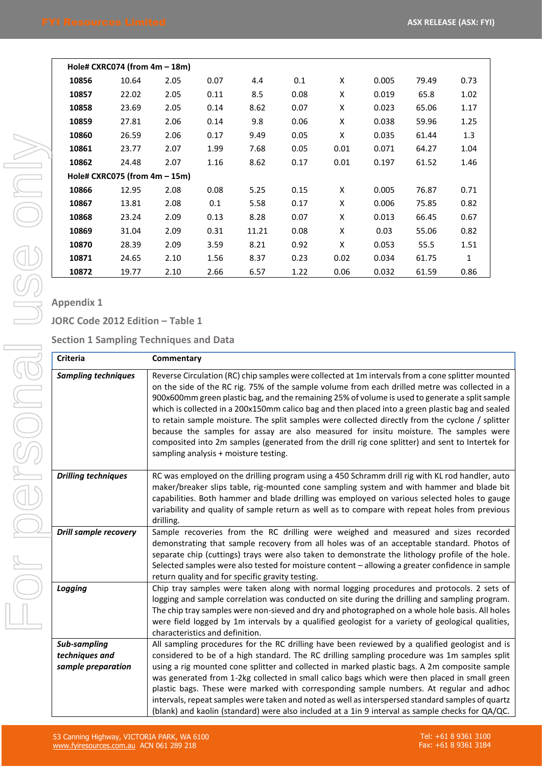|       | Hole# CXRC074 (from $4m - 18m$ ) |      |      |       |      |      |       |       |              |
|-------|----------------------------------|------|------|-------|------|------|-------|-------|--------------|
| 10856 | 10.64                            | 2.05 | 0.07 | 4.4   | 0.1  | X    | 0.005 | 79.49 | 0.73         |
| 10857 | 22.02                            | 2.05 | 0.11 | 8.5   | 0.08 | Χ    | 0.019 | 65.8  | 1.02         |
| 10858 | 23.69                            | 2.05 | 0.14 | 8.62  | 0.07 | X    | 0.023 | 65.06 | 1.17         |
| 10859 | 27.81                            | 2.06 | 0.14 | 9.8   | 0.06 | X    | 0.038 | 59.96 | 1.25         |
| 10860 | 26.59                            | 2.06 | 0.17 | 9.49  | 0.05 | X    | 0.035 | 61.44 | 1.3          |
| 10861 | 23.77                            | 2.07 | 1.99 | 7.68  | 0.05 | 0.01 | 0.071 | 64.27 | 1.04         |
| 10862 | 24.48                            | 2.07 | 1.16 | 8.62  | 0.17 | 0.01 | 0.197 | 61.52 | 1.46         |
|       | Hole# CXRC075 (from 4m - 15m)    |      |      |       |      |      |       |       |              |
| 10866 | 12.95                            | 2.08 | 0.08 | 5.25  | 0.15 | X    | 0.005 | 76.87 | 0.71         |
| 10867 | 13.81                            | 2.08 | 0.1  | 5.58  | 0.17 | X    | 0.006 | 75.85 | 0.82         |
| 10868 | 23.24                            | 2.09 | 0.13 | 8.28  | 0.07 | Χ    | 0.013 | 66.45 | 0.67         |
| 10869 | 31.04                            | 2.09 | 0.31 | 11.21 | 0.08 | X    | 0.03  | 55.06 | 0.82         |
| 10870 | 28.39                            | 2.09 | 3.59 | 8.21  | 0.92 | X    | 0.053 | 55.5  | 1.51         |
| 10871 | 24.65                            | 2.10 | 1.56 | 8.37  | 0.23 | 0.02 | 0.034 | 61.75 | $\mathbf{1}$ |
| 10872 | 19.77                            | 2.10 | 2.66 | 6.57  | 1.22 | 0.06 | 0.032 | 61.59 | 0.86         |

# **Appendix 1**

**JORC Code 2012 Edition – Table 1**

**Section 1 Sampling Techniques and Data**

| <b>Criteria</b>                                      | Commentary                                                                                                                                                                                                                                                                                                                                                                                                                                                                                                                                                                                                                                                                                                                                           |
|------------------------------------------------------|------------------------------------------------------------------------------------------------------------------------------------------------------------------------------------------------------------------------------------------------------------------------------------------------------------------------------------------------------------------------------------------------------------------------------------------------------------------------------------------------------------------------------------------------------------------------------------------------------------------------------------------------------------------------------------------------------------------------------------------------------|
| <b>Sampling techniques</b>                           | Reverse Circulation (RC) chip samples were collected at 1m intervals from a cone splitter mounted<br>on the side of the RC rig. 75% of the sample volume from each drilled metre was collected in a<br>900x600mm green plastic bag, and the remaining 25% of volume is used to generate a split sample<br>which is collected in a 200x150mm calico bag and then placed into a green plastic bag and sealed<br>to retain sample moisture. The split samples were collected directly from the cyclone / splitter<br>because the samples for assay are also measured for insitu moisture. The samples were<br>composited into 2m samples (generated from the drill rig cone splitter) and sent to Intertek for<br>sampling analysis + moisture testing. |
| <b>Drilling techniques</b>                           | RC was employed on the drilling program using a 450 Schramm drill rig with KL rod handler, auto<br>maker/breaker slips table, rig-mounted cone sampling system and with hammer and blade bit<br>capabilities. Both hammer and blade drilling was employed on various selected holes to gauge<br>variability and quality of sample return as well as to compare with repeat holes from previous<br>drilling.                                                                                                                                                                                                                                                                                                                                          |
| <b>Drill sample recovery</b>                         | Sample recoveries from the RC drilling were weighed and measured and sizes recorded<br>demonstrating that sample recovery from all holes was of an acceptable standard. Photos of<br>separate chip (cuttings) trays were also taken to demonstrate the lithology profile of the hole.<br>Selected samples were also tested for moisture content - allowing a greater confidence in sample<br>return quality and for specific gravity testing.                                                                                                                                                                                                                                                                                                        |
| Logging                                              | Chip tray samples were taken along with normal logging procedures and protocols. 2 sets of<br>logging and sample correlation was conducted on site during the drilling and sampling program.<br>The chip tray samples were non-sieved and dry and photographed on a whole hole basis. All holes<br>were field logged by 1m intervals by a qualified geologist for a variety of geological qualities,<br>characteristics and definition.                                                                                                                                                                                                                                                                                                              |
| Sub-sampling<br>techniques and<br>sample preparation | All sampling procedures for the RC drilling have been reviewed by a qualified geologist and is<br>considered to be of a high standard. The RC drilling sampling procedure was 1m samples split<br>using a rig mounted cone splitter and collected in marked plastic bags. A 2m composite sample<br>was generated from 1-2kg collected in small calico bags which were then placed in small green<br>plastic bags. These were marked with corresponding sample numbers. At regular and adhoc<br>intervals, repeat samples were taken and noted as well as interspersed standard samples of quartz<br>(blank) and kaolin (standard) were also included at a 1in 9 interval as sample checks for QA/QC.                                                 |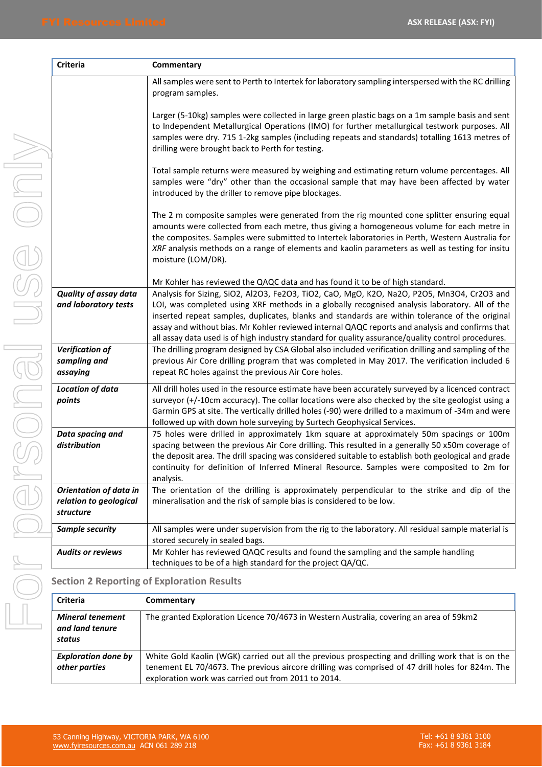| l<br>I                                     |
|--------------------------------------------|
| I<br>I<br>l<br>I                           |
| Į<br>ļ                                     |
| I<br>I<br>1                                |
| ١                                          |
| l<br>l<br>$\overline{\phantom{a}}$         |
| 2<br>L.<br>j<br>$\bigl($<br>)<br>$\bigcup$ |
| J,<br>$\overline{a}$<br>Ī                  |

| Criteria                                                             | Commentary                                                                                                                                                                                                                                                                                                                                                                                                                                                                                             |
|----------------------------------------------------------------------|--------------------------------------------------------------------------------------------------------------------------------------------------------------------------------------------------------------------------------------------------------------------------------------------------------------------------------------------------------------------------------------------------------------------------------------------------------------------------------------------------------|
|                                                                      | All samples were sent to Perth to Intertek for laboratory sampling interspersed with the RC drilling<br>program samples.                                                                                                                                                                                                                                                                                                                                                                               |
|                                                                      | Larger (5-10kg) samples were collected in large green plastic bags on a 1m sample basis and sent<br>to Independent Metallurgical Operations (IMO) for further metallurgical testwork purposes. All<br>samples were dry. 715 1-2kg samples (including repeats and standards) totalling 1613 metres of<br>drilling were brought back to Perth for testing.                                                                                                                                               |
|                                                                      | Total sample returns were measured by weighing and estimating return volume percentages. All<br>samples were "dry" other than the occasional sample that may have been affected by water<br>introduced by the driller to remove pipe blockages.                                                                                                                                                                                                                                                        |
|                                                                      | The 2 m composite samples were generated from the rig mounted cone splitter ensuring equal<br>amounts were collected from each metre, thus giving a homogeneous volume for each metre in<br>the composites. Samples were submitted to Intertek laboratories in Perth, Western Australia for<br>XRF analysis methods on a range of elements and kaolin parameters as well as testing for insitu<br>moisture (LOM/DR).                                                                                   |
|                                                                      | Mr Kohler has reviewed the QAQC data and has found it to be of high standard.                                                                                                                                                                                                                                                                                                                                                                                                                          |
| <b>Quality of assay data</b><br>and laboratory tests                 | Analysis for Sizing, SiO2, Al2O3, Fe2O3, TiO2, CaO, MgO, K2O, Na2O, P2O5, Mn3O4, Cr2O3 and<br>LOI, was completed using XRF methods in a globally recognised analysis laboratory. All of the<br>inserted repeat samples, duplicates, blanks and standards are within tolerance of the original<br>assay and without bias. Mr Kohler reviewed internal QAQC reports and analysis and confirms that<br>all assay data used is of high industry standard for quality assurance/quality control procedures. |
| Verification of<br>sampling and<br>assaying                          | The drilling program designed by CSA Global also included verification drilling and sampling of the<br>previous Air Core drilling program that was completed in May 2017. The verification included 6<br>repeat RC holes against the previous Air Core holes.                                                                                                                                                                                                                                          |
| Location of data<br>points                                           | All drill holes used in the resource estimate have been accurately surveyed by a licenced contract<br>surveyor (+/-10cm accuracy). The collar locations were also checked by the site geologist using a<br>Garmin GPS at site. The vertically drilled holes (-90) were drilled to a maximum of -34m and were<br>followed up with down hole surveying by Surtech Geophysical Services.                                                                                                                  |
| Data spacing and<br>distribution                                     | 75 holes were drilled in approximately 1km square at approximately 50m spacings or 100m<br>spacing between the previous Air Core drilling. This resulted in a generally 50 x50m coverage of<br>the deposit area. The drill spacing was considered suitable to establish both geological and grade<br>continuity for definition of Inferred Mineral Resource. Samples were composited to 2m for<br>analysis.                                                                                            |
| <b>Orientation of data in</b><br>relation to geological<br>structure | The orientation of the drilling is approximately perpendicular to the strike and dip of the<br>mineralisation and the risk of sample bias is considered to be low.                                                                                                                                                                                                                                                                                                                                     |
| Sample security                                                      | All samples were under supervision from the rig to the laboratory. All residual sample material is<br>stored securely in sealed bags.                                                                                                                                                                                                                                                                                                                                                                  |
| <b>Audits or reviews</b>                                             | Mr Kohler has reviewed QAQC results and found the sampling and the sample handling<br>techniques to be of a high standard for the project QA/QC.                                                                                                                                                                                                                                                                                                                                                       |

# **Section 2 Reporting of Exploration Results**

| <b>Criteria</b>                                      | Commentary                                                                                                                                                                                                                                                   |
|------------------------------------------------------|--------------------------------------------------------------------------------------------------------------------------------------------------------------------------------------------------------------------------------------------------------------|
| <b>Mineral tenement</b><br>and land tenure<br>status | The granted Exploration Licence 70/4673 in Western Australia, covering an area of 59km2                                                                                                                                                                      |
| <b>Exploration done by</b><br>other parties          | White Gold Kaolin (WGK) carried out all the previous prospecting and drilling work that is on the<br>tenement EL 70/4673. The previous aircore drilling was comprised of 47 drill holes for 824m. The<br>exploration work was carried out from 2011 to 2014. |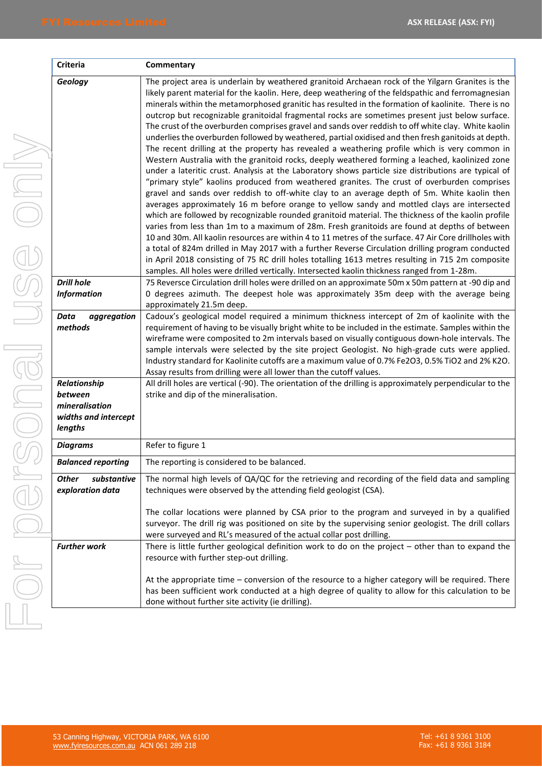| l                |   |
|------------------|---|
| l<br>I<br>I<br>I | I |
| I                |   |
| I<br>١<br>I<br>I |   |
| I<br>Ì           |   |
| I<br>I           |   |
| ١<br>Ī           |   |
| l                |   |
| $\big($<br>)     |   |
| $\bigcirc$       |   |
|                  |   |

| <b>Criteria</b>                                                              | Commentary                                                                                                                                                                                                                                                                                                                                                                                                                                                                                                                                                                                                                                                                                                                                                                                                                                                                                                                                                                                                                                                                                                                                                                                                                                                                                                                                                                                                                                                                                                                                                                                                                                                                                                                                                                                                                                                         |
|------------------------------------------------------------------------------|--------------------------------------------------------------------------------------------------------------------------------------------------------------------------------------------------------------------------------------------------------------------------------------------------------------------------------------------------------------------------------------------------------------------------------------------------------------------------------------------------------------------------------------------------------------------------------------------------------------------------------------------------------------------------------------------------------------------------------------------------------------------------------------------------------------------------------------------------------------------------------------------------------------------------------------------------------------------------------------------------------------------------------------------------------------------------------------------------------------------------------------------------------------------------------------------------------------------------------------------------------------------------------------------------------------------------------------------------------------------------------------------------------------------------------------------------------------------------------------------------------------------------------------------------------------------------------------------------------------------------------------------------------------------------------------------------------------------------------------------------------------------------------------------------------------------------------------------------------------------|
| Geology                                                                      | The project area is underlain by weathered granitoid Archaean rock of the Yilgarn Granites is the<br>likely parent material for the kaolin. Here, deep weathering of the feldspathic and ferromagnesian<br>minerals within the metamorphosed granitic has resulted in the formation of kaolinite. There is no<br>outcrop but recognizable granitoidal fragmental rocks are sometimes present just below surface.<br>The crust of the overburden comprises gravel and sands over reddish to off white clay. White kaolin<br>underlies the overburden followed by weathered, partial oxidised and then fresh ganitoids at depth.<br>The recent drilling at the property has revealed a weathering profile which is very common in<br>Western Australia with the granitoid rocks, deeply weathered forming a leached, kaolinized zone<br>under a lateritic crust. Analysis at the Laboratory shows particle size distributions are typical of<br>"primary style" kaolins produced from weathered granites. The crust of overburden comprises<br>gravel and sands over reddish to off-white clay to an average depth of 5m. White kaolin then<br>averages approximately 16 m before orange to yellow sandy and mottled clays are intersected<br>which are followed by recognizable rounded granitoid material. The thickness of the kaolin profile<br>varies from less than 1m to a maximum of 28m. Fresh granitoids are found at depths of between<br>10 and 30m. All kaolin resources are within 4 to 11 metres of the surface. 47 Air Core drillholes with<br>a total of 824m drilled in May 2017 with a further Reverse Circulation drilling program conducted<br>in April 2018 consisting of 75 RC drill holes totalling 1613 metres resulting in 715 2m composite<br>samples. All holes were drilled vertically. Intersected kaolin thickness ranged from 1-28m. |
| <b>Drill hole</b>                                                            | 75 Reversce Circulation drill holes were drilled on an approximate 50m x 50m pattern at -90 dip and                                                                                                                                                                                                                                                                                                                                                                                                                                                                                                                                                                                                                                                                                                                                                                                                                                                                                                                                                                                                                                                                                                                                                                                                                                                                                                                                                                                                                                                                                                                                                                                                                                                                                                                                                                |
| <b>Information</b>                                                           | O degrees azimuth. The deepest hole was approximately 35m deep with the average being<br>approximately 21.5m deep.                                                                                                                                                                                                                                                                                                                                                                                                                                                                                                                                                                                                                                                                                                                                                                                                                                                                                                                                                                                                                                                                                                                                                                                                                                                                                                                                                                                                                                                                                                                                                                                                                                                                                                                                                 |
| Data<br>aggregation<br>methods                                               | Cadoux's geological model required a minimum thickness intercept of 2m of kaolinite with the<br>requirement of having to be visually bright white to be included in the estimate. Samples within the<br>wireframe were composited to 2m intervals based on visually contiguous down-hole intervals. The<br>sample intervals were selected by the site project Geologist. No high-grade cuts were applied.<br>Industry standard for Kaolinite cutoffs are a maximum value of 0.7% Fe2O3, 0.5% TiO2 and 2% K2O.<br>Assay results from drilling were all lower than the cutoff values.                                                                                                                                                                                                                                                                                                                                                                                                                                                                                                                                                                                                                                                                                                                                                                                                                                                                                                                                                                                                                                                                                                                                                                                                                                                                                |
| Relationship<br>between<br>mineralisation<br>widths and intercept<br>lengths | All drill holes are vertical (-90). The orientation of the drilling is approximately perpendicular to the<br>strike and dip of the mineralisation.                                                                                                                                                                                                                                                                                                                                                                                                                                                                                                                                                                                                                                                                                                                                                                                                                                                                                                                                                                                                                                                                                                                                                                                                                                                                                                                                                                                                                                                                                                                                                                                                                                                                                                                 |
| <b>Diagrams</b>                                                              | Refer to figure 1                                                                                                                                                                                                                                                                                                                                                                                                                                                                                                                                                                                                                                                                                                                                                                                                                                                                                                                                                                                                                                                                                                                                                                                                                                                                                                                                                                                                                                                                                                                                                                                                                                                                                                                                                                                                                                                  |
| <b>Balanced reporting</b>                                                    | The reporting is considered to be balanced.                                                                                                                                                                                                                                                                                                                                                                                                                                                                                                                                                                                                                                                                                                                                                                                                                                                                                                                                                                                                                                                                                                                                                                                                                                                                                                                                                                                                                                                                                                                                                                                                                                                                                                                                                                                                                        |
| substantive<br>Other<br>exploration data                                     | The normal high levels of QA/QC for the retrieving and recording of the field data and sampling<br>techniques were observed by the attending field geologist (CSA).<br>The collar locations were planned by CSA prior to the program and surveyed in by a qualified<br>surveyor. The drill rig was positioned on site by the supervising senior geologist. The drill collars<br>were surveyed and RL's measured of the actual collar post drilling.                                                                                                                                                                                                                                                                                                                                                                                                                                                                                                                                                                                                                                                                                                                                                                                                                                                                                                                                                                                                                                                                                                                                                                                                                                                                                                                                                                                                                |
| <b>Further work</b>                                                          | There is little further geological definition work to do on the project - other than to expand the<br>resource with further step-out drilling.<br>At the appropriate time – conversion of the resource to a higher category will be required. There<br>has been sufficient work conducted at a high degree of quality to allow for this calculation to be<br>done without further site activity (ie drilling).                                                                                                                                                                                                                                                                                                                                                                                                                                                                                                                                                                                                                                                                                                                                                                                                                                                                                                                                                                                                                                                                                                                                                                                                                                                                                                                                                                                                                                                     |